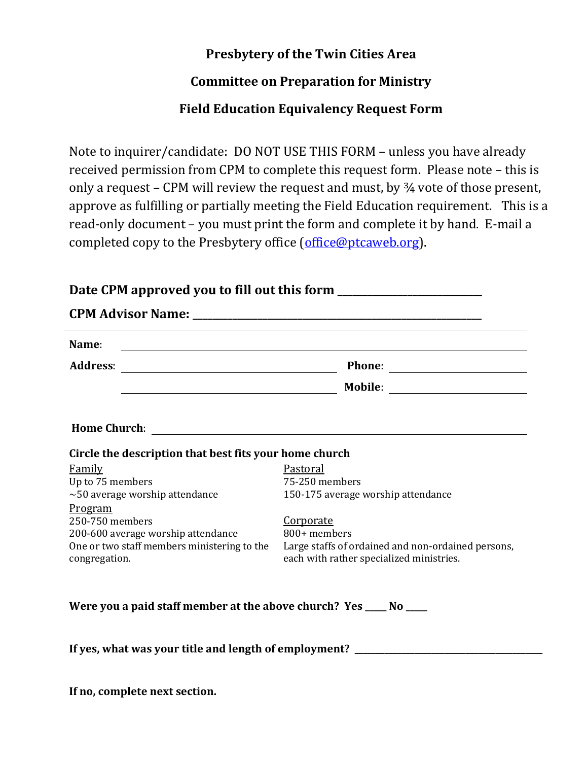## **Presbytery of the Twin Cities Area**

## **Committee on Preparation for Ministry**

## **Field Education Equivalency Request Form**

Note to inquirer/candidate: DO NOT USE THIS FORM – unless you have already received permission from CPM to complete this request form. Please note – this is only a request – CPM will review the request and must, by ¾ vote of those present, approve as fulfilling or partially meeting the Field Education requirement. This is a read-only document – you must print the form and complete it by hand. E-mail a completed copy to the Presbytery office [\(office@ptcaweb.org\)](mailto:office@ptcaweb.org).

**Date CPM approved you to fill out this form \_\_\_\_\_\_\_\_\_\_\_\_\_\_\_\_\_\_\_\_\_\_\_\_\_\_\_\_\_**

| Circle the description that best fits your home church                            |                                                                    |  |
|-----------------------------------------------------------------------------------|--------------------------------------------------------------------|--|
| Family                                                                            | Pastoral                                                           |  |
| Up to 75 members                                                                  | 75-250 members                                                     |  |
| $\sim$ 50 average worship attendance                                              | 150-175 average worship attendance                                 |  |
| Program                                                                           |                                                                    |  |
| 250-750 members                                                                   | Corporate                                                          |  |
| 200-600 average worship attendance<br>One or two staff members ministering to the | 800+ members<br>Large staffs of ordained and non-ordained persons, |  |
| congregation.                                                                     | each with rather specialized ministries.                           |  |
| Were you a paid staff member at the above church? Yes ____ No ____                |                                                                    |  |

**If no, complete next section.**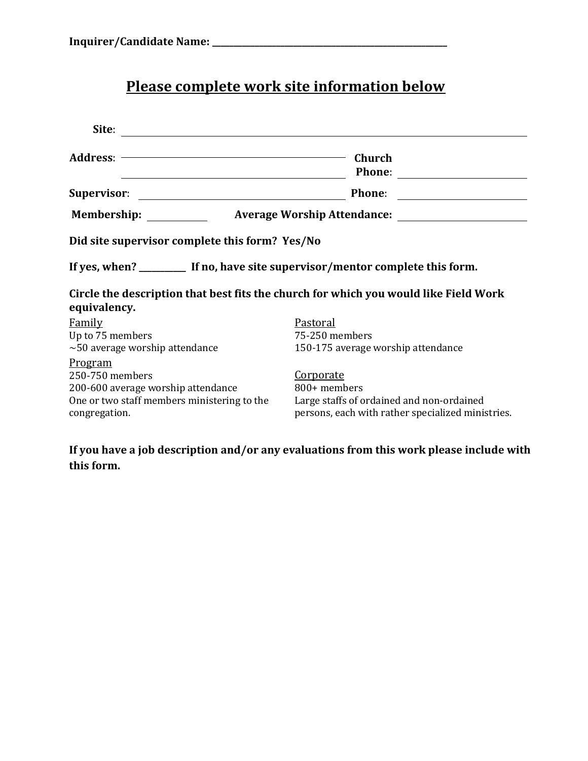## **Please complete work site information below**

| Site:                                                                                                                            |                                                                                                                                    |  |
|----------------------------------------------------------------------------------------------------------------------------------|------------------------------------------------------------------------------------------------------------------------------------|--|
|                                                                                                                                  | $-$ Church<br>Phone:                                                                                                               |  |
| <b>Supervisor:</b><br><u> 1980 - Johann Stone, mars et al. (</u> † 1920)                                                         | Phone: <u>_______________</u>                                                                                                      |  |
| <b>Membership:</b><br>Average Worship Attendance:                                                                                |                                                                                                                                    |  |
| Did site supervisor complete this form? Yes/No                                                                                   |                                                                                                                                    |  |
| If yes, when? ______________ If no, have site supervisor/mentor complete this form.                                              |                                                                                                                                    |  |
| Circle the description that best fits the church for which you would like Field Work<br>equivalency.                             |                                                                                                                                    |  |
| <b>Family</b><br>Up to 75 members<br>$\sim$ 50 average worship attendance                                                        | Pastoral<br>75-250 members<br>150-175 average worship attendance                                                                   |  |
| Program<br>250-750 members<br>200-600 average worship attendance<br>One or two staff members ministering to the<br>congregation. | <b>Corporate</b><br>800+ members<br>Large staffs of ordained and non-ordained<br>persons, each with rather specialized ministries. |  |

**If you have a job description and/or any evaluations from this work please include with this form.**